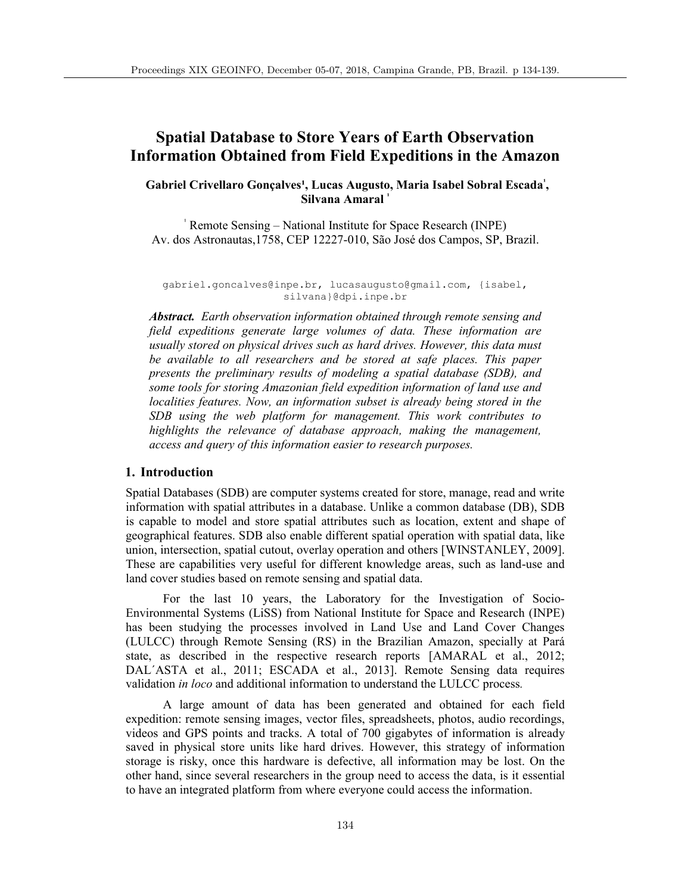# **Spatial Database to Store Years of Earth Observation Information Obtained from Field Expeditions in the Amazon**

# Gabriel Crivellaro Gonçalves<sup>1</sup>, Lucas Augusto, Maria Isabel Sobral Escada<sup>1</sup>, **Silvana Amaral**

Remote Sensing – National Institute for Space Research (INPE) Av. dos Astronautas,1758, CEP 12227-010, São José dos Campos, SP, Brazil.

gabriel.goncalves@inpe.br, lucasaugusto@gmail.com, {isabel, silvana}@dpi.inpe.br

*Abstract. Earth observation information obtained through remote sensing and field expeditions generate large volumes of data. These information are usually stored on physical drives such as hard drives. However, this data must be available to all researchers and be stored at safe places. This paper presents the preliminary results of modeling a spatial database (SDB), and some tools for storing Amazonian field expedition information of land use and localities features. Now, an information subset is already being stored in the SDB using the web platform for management. This work contributes to highlights the relevance of database approach, making the management, access and query of this information easier to research purposes.*

### **1. Introduction**

Spatial Databases (SDB) are computer systems created for store, manage, read and write information with spatial attributes in a database. Unlike a common database (DB), SDB is capable to model and store spatial attributes such as location, extent and shape of geographical features. SDB also enable different spatial operation with spatial data, like union, intersection, spatial cutout, overlay operation and others [WINSTANLEY, 2009]. These are capabilities very useful for different knowledge areas, such as land-use and land cover studies based on remote sensing and spatial data.

For the last 10 years, the Laboratory for the Investigation of Socio-Environmental Systems (LiSS) from National Institute for Space and Research (INPE) has been studying the processes involved in Land Use and Land Cover Changes (LULCC) through Remote Sensing (RS) in the Brazilian Amazon, specially at Pará state, as described in the respective research reports [AMARAL et al., 2012; DAL´ASTA et al., 2011; ESCADA et al., 2013]. Remote Sensing data requires validation *in loco* and additional information to understand the LULCC process*.*

A large amount of data has been generated and obtained for each field expedition: remote sensing images, vector files, spreadsheets, photos, audio recordings, videos and GPS points and tracks. A total of 700 gigabytes of information is already saved in physical store units like hard drives. However, this strategy of information storage is risky, once this hardware is defective, all information may be lost. On the other hand, since several researchers in the group need to access the data, is it essential to have an integrated platform from where everyone could access the information.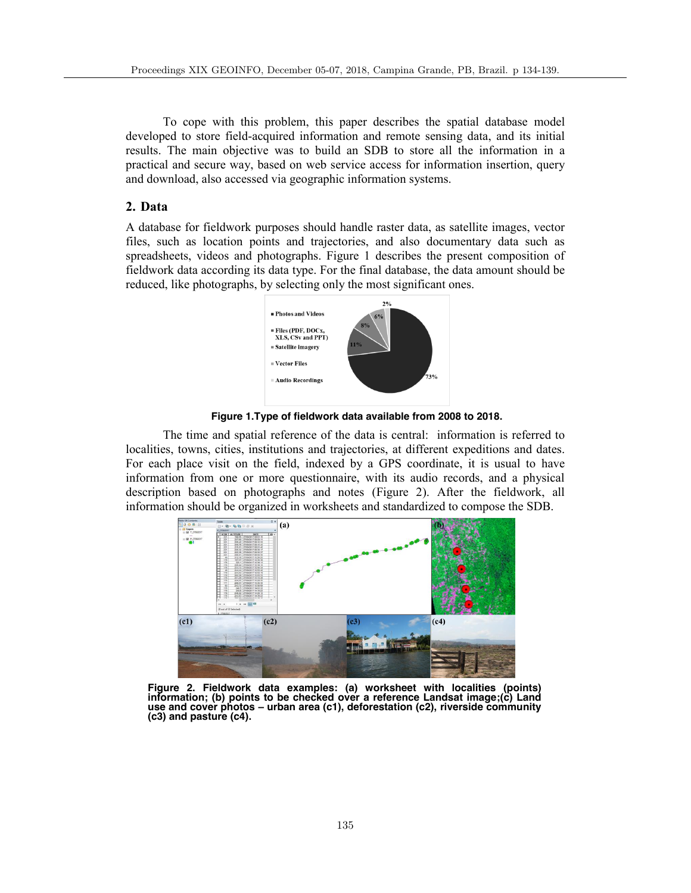To cope with this problem, this paper describes the spatial database model developed to store field-acquired information and remote sensing data, and its initial results. The main objective was to build an SDB to store all the information in a practical and secure way, based on web service access for information insertion, query and download, also accessed via geographic information systems.

# **2. Data**

A database for fieldwork purposes should handle raster data, as satellite images, vector files, such as location points and trajectories, and also documentary data such as spreadsheets, videos and photographs. Figure 1 describes the present composition of fieldwork data according its data type. For the final database, the data amount should be reduced, like photographs, by selecting only the most significant ones.



**Figure 1.Type of fieldwork data available from 2008 to 2018.**

The time and spatial reference of the data is central: information is referred to localities, towns, cities, institutions and trajectories, at different expeditions and dates. For each place visit on the field, indexed by a GPS coordinate, it is usual to have information from one or more questionnaire, with its audio records, and a physical description based on photographs and notes (Figure 2). After the fieldwork, all information should be organized in worksheets and standardized to compose the SDB.



**Figure 2. Fieldwork data examples: (a) worksheet with localities (points) information; (b) points to be checked over a reference Landsat image;(c) Land use and cover photos – urban area (c1), deforestation (c2), riverside community (c3) and pasture (c4).**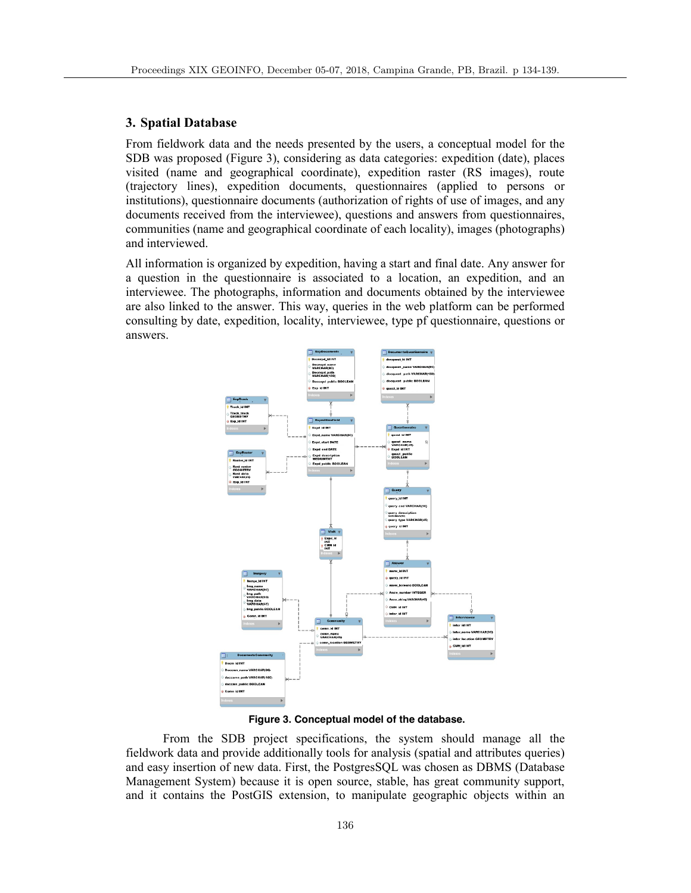### **3. Spatial Database**

From fieldwork data and the needs presented by the users, a conceptual model for the SDB was proposed (Figure 3), considering as data categories: expedition (date), places visited (name and geographical coordinate), expedition raster (RS images), route (trajectory lines), expedition documents, questionnaires (applied to persons or institutions), questionnaire documents (authorization of rights of use of images, and any documents received from the interviewee), questions and answers from questionnaires, communities (name and geographical coordinate of each locality), images (photographs) and interviewed.

All information is organized by expedition, having a start and final date. Any answer for a question in the questionnaire is associated to a location, an expedition, and an interviewee. The photographs, information and documents obtained by the interviewee are also linked to the answer. This way, queries in the web platform can be performed consulting by date, expedition, locality, interviewee, type pf questionnaire, questions or answers.



**Figure 3. Conceptual model of the database.**

From the SDB project specifications, the system should manage all the fieldwork data and provide additionally tools for analysis (spatial and attributes queries) and easy insertion of new data. First, the PostgresSQL was chosen as DBMS (Database Management System) because it is open source, stable, has great community support, and it contains the PostGIS extension, to manipulate geographic objects within an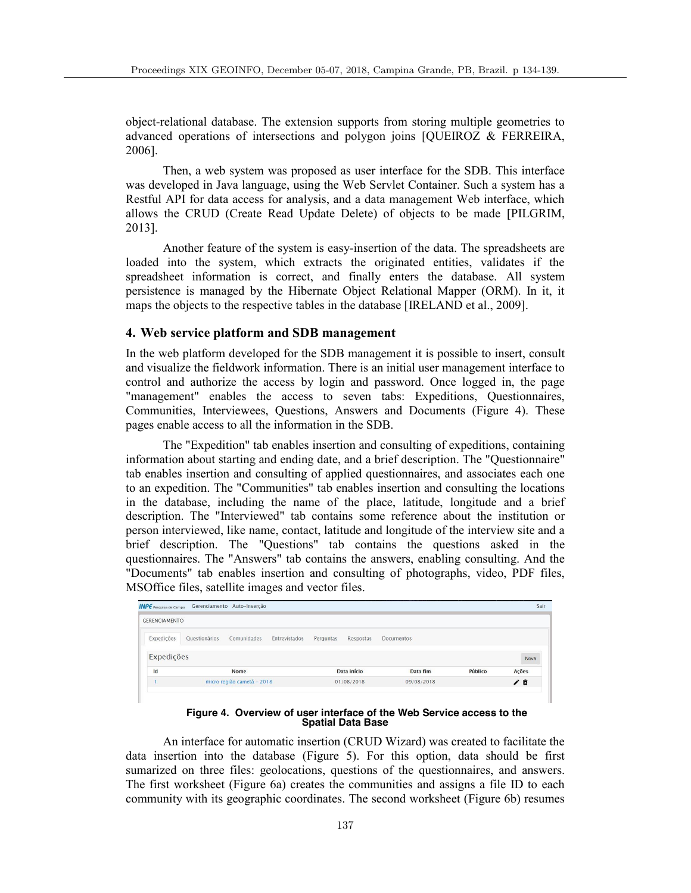object-relational database. The extension supports from storing multiple geometries to advanced operations of intersections and polygon joins [QUEIROZ & FERREIRA, 2006].

Then, a web system was proposed as user interface for the SDB. This interface was developed in Java language, using the Web Servlet Container. Such a system has a Restful API for data access for analysis, and a data management Web interface, which allows the CRUD (Create Read Update Delete) of objects to be made [PILGRIM, 2013].

Another feature of the system is easy-insertion of the data. The spreadsheets are loaded into the system, which extracts the originated entities, validates if the spreadsheet information is correct, and finally enters the database. All system persistence is managed by the Hibernate Object Relational Mapper (ORM). In it, it maps the objects to the respective tables in the database [IRELAND et al., 2009].

## **4. Web service platform and SDB management**

In the web platform developed for the SDB management it is possible to insert, consult and visualize the fieldwork information. There is an initial user management interface to control and authorize the access by login and password. Once logged in, the page "management" enables the access to seven tabs: Expeditions, Questionnaires, Communities, Interviewees, Questions, Answers and Documents (Figure 4). These pages enable access to all the information in the SDB.

The "Expedition" tab enables insertion and consulting of expeditions, containing information about starting and ending date, and a brief description. The "Questionnaire" tab enables insertion and consulting of applied questionnaires, and associates each one to an expedition. The "Communities" tab enables insertion and consulting the locations in the database, including the name of the place, latitude, longitude and a brief description. The "Interviewed" tab contains some reference about the institution or person interviewed, like name, contact, latitude and longitude of the interview site and a brief description. The "Questions" tab contains the questions asked in the questionnaires. The "Answers" tab contains the answers, enabling consulting. And the "Documents" tab enables insertion and consulting of photographs, video, PDF files, MSOffice files, satellite images and vector files.

| <b>GERENCIAMENTO</b> |                              |               |                        |            |         |       |
|----------------------|------------------------------|---------------|------------------------|------------|---------|-------|
| Expedições           | Questionários<br>Comunidades | Entrevistados | Respostas<br>Perguntas | Documentos |         |       |
| Expedições           |                              |               |                        |            |         | Nova  |
| Id                   | Nome                         |               | Data início            | Data fim   | Público | Ações |
|                      | micro região cametá - 2018   |               | 01/08/2018             | 09/08/2018 |         | ノ目    |

**Figure 4. Overview of user interface of the Web Service access to the Spatial Data Base**

An interface for automatic insertion (CRUD Wizard) was created to facilitate the data insertion into the database (Figure 5). For this option, data should be first sumarized on three files: geolocations, questions of the questionnaires, and answers. The first worksheet (Figure 6a) creates the communities and assigns a file ID to each community with its geographic coordinates. The second worksheet (Figure 6b) resumes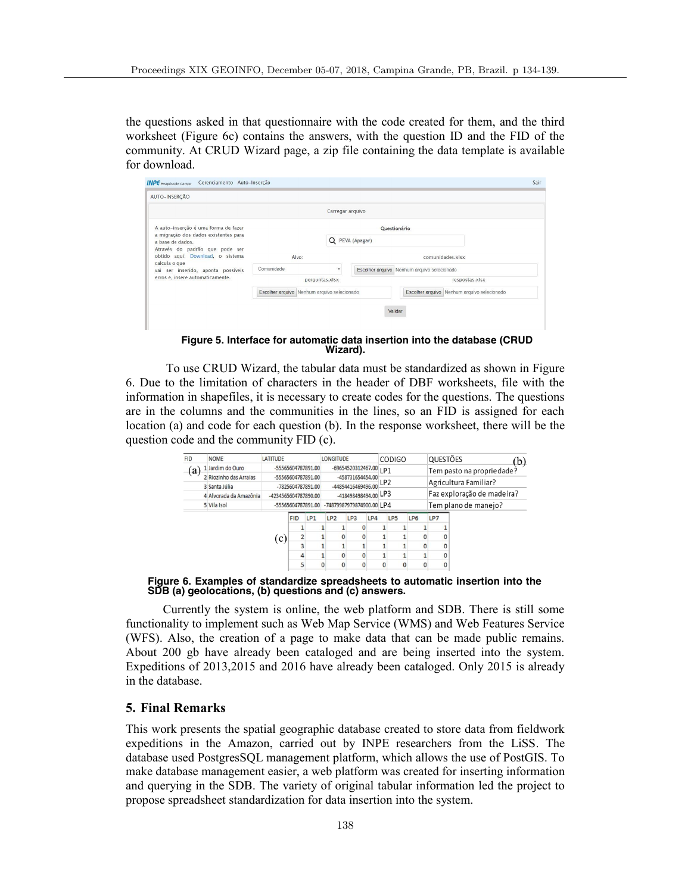the questions asked in that questionnaire with the code created for them, and the third worksheet (Figure 6c) contains the answers, with the question ID and the FID of the community. At CRUD Wizard page, a zip file containing the data template is available for download.

| Gerenciamento Auto-Inserção<br><b>INPE</b> Pesquisa de Campo       |                                             |                  |                 |                                             | Sair |  |  |  |
|--------------------------------------------------------------------|---------------------------------------------|------------------|-----------------|---------------------------------------------|------|--|--|--|
| AUTO-INSERCÃO                                                      |                                             |                  |                 |                                             |      |  |  |  |
|                                                                    |                                             | Carregar arquivo |                 |                                             |      |  |  |  |
| A auto-inserção é uma forma de fazer                               |                                             |                  | Questionário    |                                             |      |  |  |  |
| a migração dos dados existentes para<br>a base de dados.           |                                             |                  | Q PEVA (Apagar) |                                             |      |  |  |  |
| Através do padrão que pode ser<br>obtido aqui: Download, o sistema | Alvo:                                       |                  |                 | comunidades.xlsx                            |      |  |  |  |
| calcula o que<br>vai ser inserido, aponta possíveis                | Comunidade                                  | ۰                |                 | Escolher arquivo Nenhum arquivo selecionado |      |  |  |  |
| erros e, insere automaticamente.                                   | perguntas.xlsx                              |                  |                 | respostas.xlsx                              |      |  |  |  |
|                                                                    | Escolher arquivo Nenhum arquivo selecionado |                  |                 | Escolher arquivo Nenhum arquivo selecionado |      |  |  |  |
|                                                                    |                                             |                  |                 | Validar                                     |      |  |  |  |

**Figure 5. Interface for automatic data insertion into the database (CRUD Wizard).**

To use CRUD Wizard, the tabular data must be standardized as shown in Figure 6. Due to the limitation of characters in the header of DBF worksheets, file with the information in shapefiles, it is necessary to create codes for the questions. The questions are in the columns and the communities in the lines, so an FID is assigned for each location (a) and code for each question (b). In the response worksheet, there will be the question code and the community FID (c).

| <b>FID</b> | <b>NOME</b>            | <b>LATITUDE</b>                                                 |                    |                                        | <b>LONGITUDE</b>          |                 |     |                                    | CODIGO               |                                                    | QUESTÕES       |          | (b)          |  |  |              |
|------------|------------------------|-----------------------------------------------------------------|--------------------|----------------------------------------|---------------------------|-----------------|-----|------------------------------------|----------------------|----------------------------------------------------|----------------|----------|--------------|--|--|--------------|
| (a)        | 1 Jardim do Ouro       | -55565604787891.00                                              |                    |                                        | -69654520312467.00        |                 |     | LP <sub>1</sub><br>LP <sub>2</sub> |                      | Tem pasto na propriedade?<br>Agricultura Familiar? |                |          |              |  |  |              |
|            | 2 Riozinho das Arraias | -55565604787891.00<br>-7825604787891.00<br>-4234565604787890.00 |                    | -458731654454.00<br>-44894416469496.00 |                           |                 |     |                                    |                      |                                                    |                |          |              |  |  |              |
|            | 3 Santa Júlia          |                                                                 |                    |                                        |                           |                 |     |                                    |                      |                                                    |                |          |              |  |  |              |
|            | 4 Alvorada da Amazônia |                                                                 |                    | -418498498494.00 LP3                   |                           |                 |     |                                    |                      | Faz exploração de madeira?                         |                |          |              |  |  |              |
|            | 5 Vila Isol            |                                                                 | -55565604787891.00 |                                        | -74879987979874900.00 IP4 |                 |     |                                    | Tem plano de manejo? |                                                    |                |          |              |  |  |              |
|            |                        |                                                                 | <b>FID</b>         | LP <sub>1</sub>                        | LP <sub>2</sub>           | LP <sub>3</sub> | LP4 |                                    | LP5                  | LP6                                                | LP7            |          |              |  |  |              |
|            |                        | (c)                                                             |                    |                                        |                           |                 |     |                                    |                      |                                                    |                |          |              |  |  |              |
|            |                        |                                                                 |                    |                                        | $\Omega$                  |                 |     |                                    |                      | 0                                                  |                | $\Omega$ |              |  |  |              |
|            |                        |                                                                 |                    | 3                                      |                           |                 |     |                                    |                      |                                                    | $\overline{0}$ |          | $\mathbf{0}$ |  |  |              |
|            |                        |                                                                 |                    |                                        |                           |                 |     |                                    | $\Omega$             |                                                    |                |          |              |  |  | $\mathbf{0}$ |
|            |                        |                                                                 | 5                  |                                        | $\bf{0}$                  |                 |     |                                    | $\bf{0}$             | 0                                                  |                | $\Omega$ |              |  |  |              |

**Figure 6. Examples of standardize spreadsheets to automatic insertion into the SDB (a) geolocations, (b) questions and (c) answers.**

Currently the system is online, the web platform and SDB. There is still some functionality to implement such as Web Map Service (WMS) and Web Features Service (WFS). Also, the creation of a page to make data that can be made public remains. About 200 gb have already been cataloged and are being inserted into the system. Expeditions of 2013,2015 and 2016 have already been cataloged. Only 2015 is already in the database.

# **5. Final Remarks**

This work presents the spatial geographic database created to store data from fieldwork expeditions in the Amazon, carried out by INPE researchers from the LiSS. The database used PostgresSQL management platform, which allows the use of PostGIS. To make database management easier, a web platform was created for inserting information and querying in the SDB. The variety of original tabular information led the project to propose spreadsheet standardization for data insertion into the system.